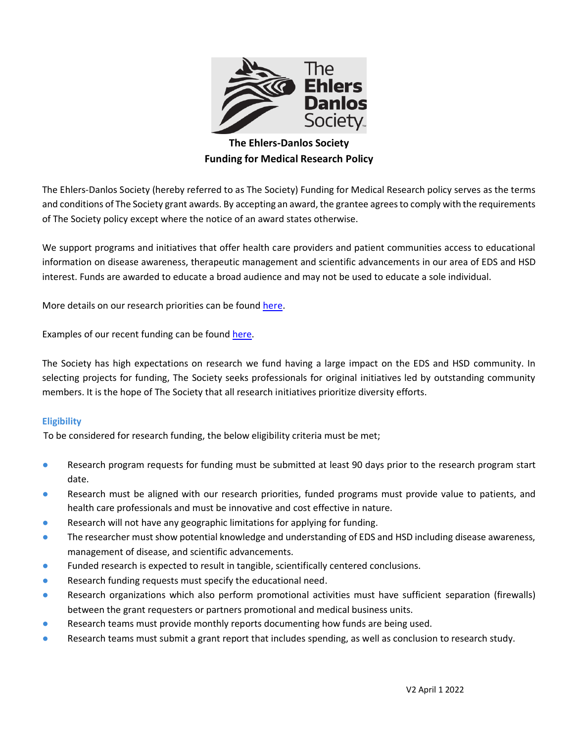

# **The Ehlers-Danlos Society Funding for Medical Research Policy**

The Ehlers-Danlos Society (hereby referred to as The Society) Funding for Medical Research policy serves as the terms and conditions of The Society grant awards. By accepting an award, the grantee agrees to comply with the requirements of The Society policy except where the notice of an award states otherwise.

We support programs and initiatives that offer health care providers and patient communities access to educational information on disease awareness, therapeutic management and scientific advancements in our area of EDS and HSD interest. Funds are awarded to educate a broad audience and may not be used to educate a sole individual.

More details on our research priorities can be found [here.](https://www.ehlers-danlos.com/research-priorities/#1573856820658-36ddd1ae-5e51)

Examples of our recent funding can be found [here.](https://www.ehlers-danlos.com/funded-research/)

The Society has high expectations on research we fund having a large impact on the EDS and HSD community. In selecting projects for funding, The Society seeks professionals for original initiatives led by outstanding community members. It is the hope of The Society that all research initiatives prioritize diversity efforts.

### **Eligibility**

To be considered for research funding, the below eligibility criteria must be met;

- Research program requests for funding must be submitted at least 90 days prior to the research program start date.
- Research must be aligned with our research priorities, funded programs must provide value to patients, and health care professionals and must be innovative and cost effective in nature.
- Research will not have any geographic limitations for applying for funding.
- The researcher must show potential knowledge and understanding of EDS and HSD including disease awareness, management of disease, and scientific advancements.
- Funded research is expected to result in tangible, scientifically centered conclusions.
- Research funding requests must specify the educational need.
- Research organizations which also perform promotional activities must have sufficient separation (firewalls) between the grant requesters or partners promotional and medical business units.
- Research teams must provide monthly reports documenting how funds are being used.
- Research teams must submit a grant report that includes spending, as well as conclusion to research study.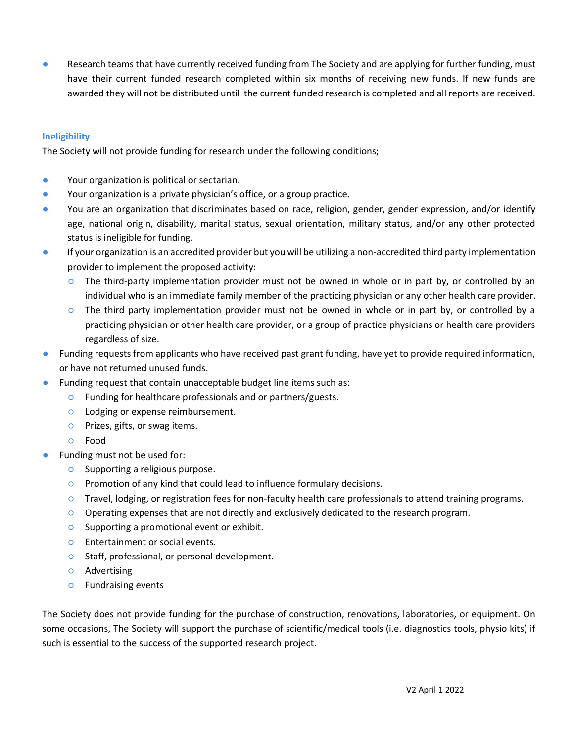Research teams that have currently received funding from The Society and are applying for further funding, must have their current funded research completed within six months of receiving new funds. If new funds are awarded they will not be distributed until the current funded research is completed and all reports are received.

## **Ineligibility**

The Society will not provide funding for research under the following conditions;

- Your organization is political or sectarian.
- Your organization is a private physician's office, or a group practice.
- You are an organization that discriminates based on race, religion, gender, gender expression, and/or identify age, national origin, disability, marital status, sexual orientation, military status, and/or any other protected status is ineligible for funding.
- If your organization is an accredited provider but you will be utilizing a non-accredited third party implementation provider to implement the proposed activity:
	- The third-party implementation provider must not be owned in whole or in part by, or controlled by an individual who is an immediate family member of the practicing physician or any other health care provider.
	- The third party implementation provider must not be owned in whole or in part by, or controlled by a practicing physician or other health care provider, or a group of practice physicians or health care providers regardless of size.
- Funding requests from applicants who have received past grant funding, have yet to provide required information, or have not returned unused funds.
- Funding request that contain unacceptable budget line items such as:
	- Funding for healthcare professionals and or partners/guests.
	- Lodging or expense reimbursement.
	- Prizes, gifts, or swag items.
	- Food
- Funding must not be used for:
	- Supporting a religious purpose.
	- Promotion of any kind that could lead to influence formulary decisions.
	- Travel, lodging, or registration fees for non-faculty health care professionals to attend training programs.
	- Operating expenses that are not directly and exclusively dedicated to the research program.
	- Supporting a promotional event or exhibit.
	- Entertainment or social events.
	- Staff, professional, or personal development.
	- Advertising
	- Fundraising events

The Society does not provide funding for the purchase of construction, renovations, laboratories, or equipment. On some occasions, The Society will support the purchase of scientific/medical tools (i.e. diagnostics tools, physio kits) if such is essential to the success of the supported research project.